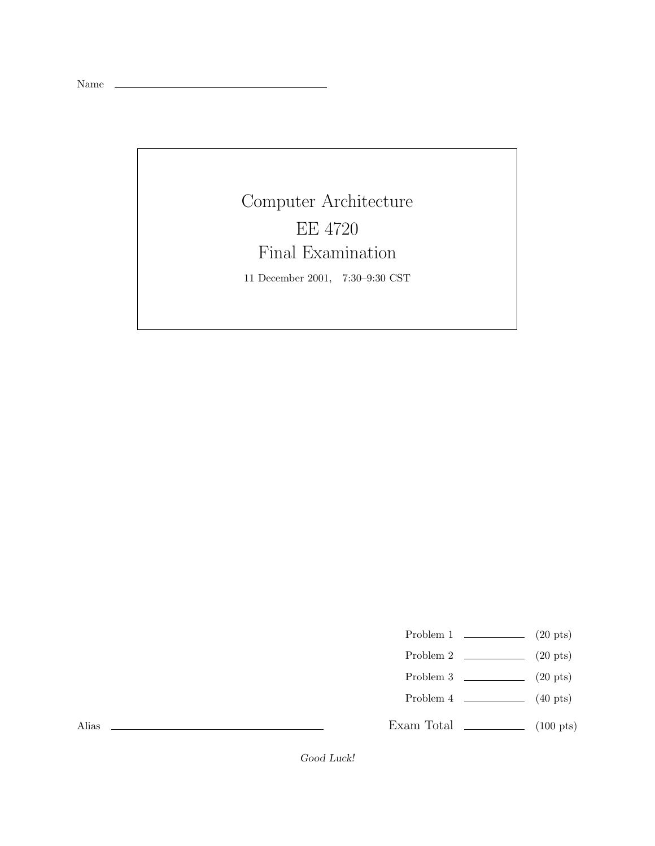Name

## Computer Architecture EE 4720 Final Examination

11 December 2001, 7:30–9:30 CST

- Problem 1  $\qquad \qquad$  (20 pts)
- Problem 2  $\qquad \qquad (20 \text{ pts})$
- Problem 3  $\qquad \qquad (20 \text{ pts})$
- Problem 4  $\qquad \qquad (40 \text{ pts})$

Exam Total \_\_\_\_\_\_\_\_\_\_\_\_\_ (100 pts)

Alias

Good Luck!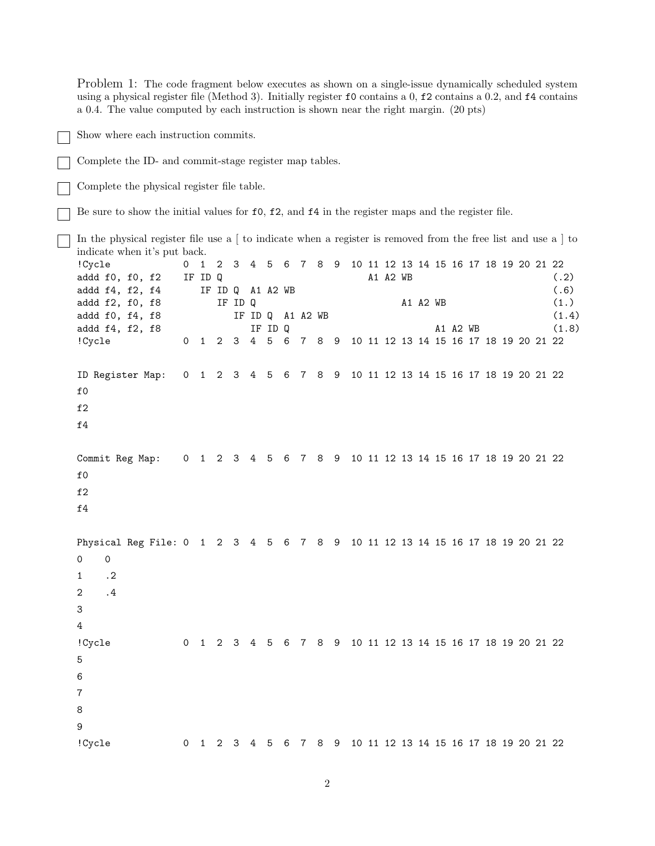Problem 1: The code fragment below executes as shown on a single-issue dynamically scheduled system using a physical register file (Method 3). Initially register f0 contains a 0, f2 contains a 0.2, and f4 contains a 0.4. The value computed by each instruction is shown near the right margin. (20 pts) Show where each instruction commits. Complete the ID- and commit-stage register map tables. Complete the physical register file table. Be sure to show the initial values for f0, f2, and f4 in the register maps and the register file. In the physical register file use a [ to indicate when a register is removed from the free list and use a ] to indicate when it's put back. !Cycle 0 1 2 3 4 5 6 7 8 9 10 11 12 13 14 15 16 17 18 19 20 21 22 addd f0, f0, f2 IF ID Q  $A1 A2 WB$  (.2) addd f4, f2, f4 IF ID Q A1 A2 WB  $(0.6)$ addd f2, f0, f8 IF ID Q A1 A2 WB (1.) addd f0, f4, f8 **IF ID Q** A1 A2 WB (1.4) addd f4, f2, f8 IF ID Q A1 A2 WB (1.8) !Cycle 0 1 2 3 4 5 6 7 8 9 10 11 12 13 14 15 16 17 18 19 20 21 22 ID Register Map: 0 1 2 3 4 5 6 7 8 9 10 11 12 13 14 15 16 17 18 19 20 21 22 f0 f2 f4 Commit Reg Map: 0 1 2 3 4 5 6 7 8 9 10 11 12 13 14 15 16 17 18 19 20 21 22 f0 f2 f4 Physical Reg File: 0 1 2 3 4 5 6 7 8 9 10 11 12 13 14 15 16 17 18 19 20 21 22 0 0 1 .2 2 .4 3 4 !Cycle 0 1 2 3 4 5 6 7 8 9 10 11 12 13 14 15 16 17 18 19 20 21 22 5 6 7 8 9 !Cycle 0 1 2 3 4 5 6 7 8 9 10 11 12 13 14 15 16 17 18 19 20 21 22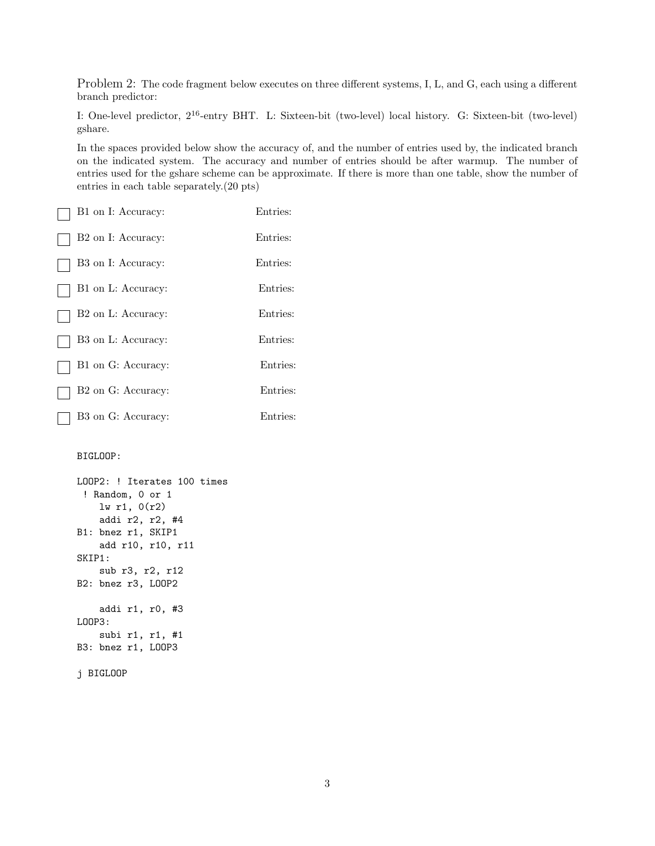Problem 2: The code fragment below executes on three different systems, I, L, and G, each using a different branch predictor:

I: One-level predictor, 2<sup>16</sup>-entry BHT. L: Sixteen-bit (two-level) local history. G: Sixteen-bit (two-level) gshare.

In the spaces provided below show the accuracy of, and the number of entries used by, the indicated branch on the indicated system. The accuracy and number of entries should be after warmup. The number of entries used for the gshare scheme can be approximate. If there is more than one table, show the number of entries in each table separately.(20 pts)

| B1 on I: Accuracy:             | Entries: |
|--------------------------------|----------|
| B <sub>2</sub> on I: Accuracy: | Entries: |
| B3 on I: Accuracy:             | Entries: |
| B1 on L: Accuracy:             | Entries: |
| B <sub>2</sub> on L: Accuracy: | Entries: |
| B3 on L: Accuracy:             | Entries: |
| B1 on G: Accuracy:             | Entries: |
| B <sub>2</sub> on G: Accuracy: | Entries: |
| B3 on G: Accuracy:             | Entries: |

## BIGLOOP:

```
LOOP2: ! Iterates 100 times
 ! Random, 0 or 1
    lw r1, 0(r2)
    addi r2, r2, #4
B1: bnez r1, SKIP1
    add r10, r10, r11
SKIP1:
    sub r3, r2, r12
B2: bnez r3, LOOP2
    addi r1, r0, #3
LOOP3:
    subi r1, r1, #1
B3: bnez r1, LOOP3
```

```
j BIGLOOP
```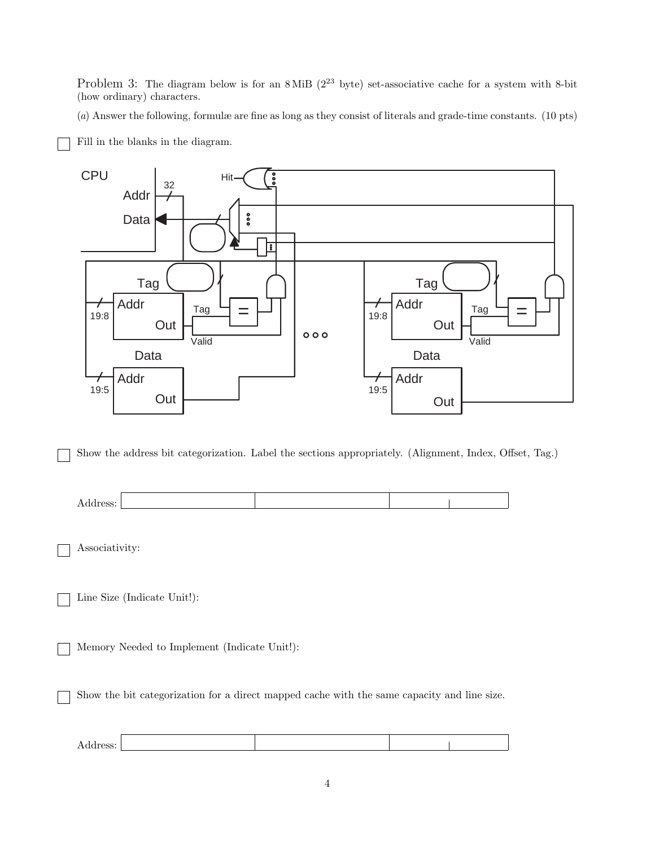Problem 3: The diagram below is for an  $8$  MiB ( $2^{23}$  byte) set-associative cache for a system with 8-bit (how ordinary) characters.

(a) Answer the following, formulæ are fine as long as they consist of literals and grade-time constants. (10 pts)



Fill in the blanks in the diagram.

Show the address bit categorization. Label the sections appropriately. (Alignment, Index, Offset, Tag.)



Associativity:

Line Size (Indicate Unit!):

Memory Needed to Implement (Indicate Unit!):

Show the bit categorization for a direct mapped cache with the same capacity and line size.

| Address: |  |  |
|----------|--|--|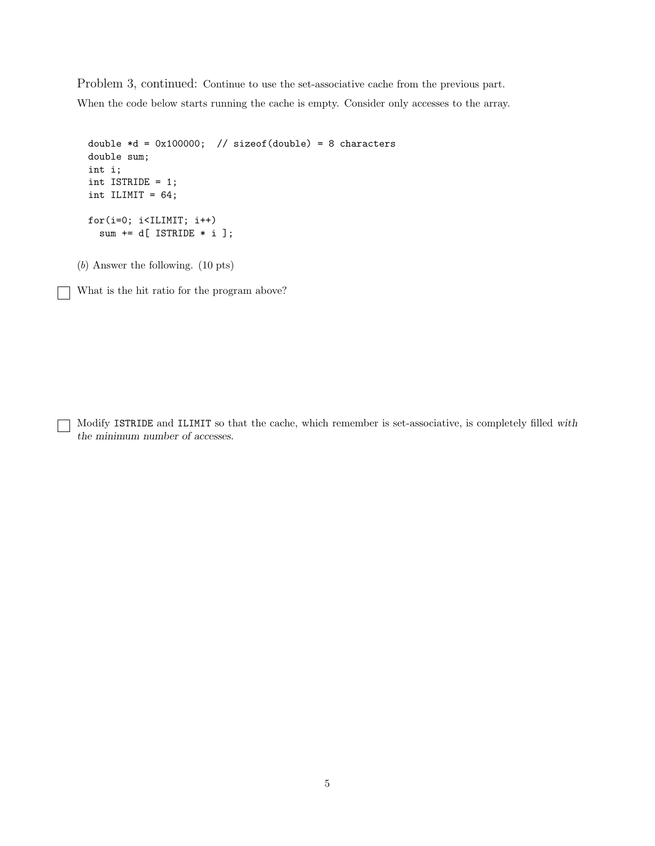Problem 3, continued: Continue to use the set-associative cache from the previous part. When the code below starts running the cache is empty. Consider only accesses to the array.

```
double *d = 0x100000; // sizeof(double) = 8 characters
double sum;
int i;
int ISTRIDE = 1;
int ILIMIT = 64;
for(i=0; i<ILIMIT; i++)
  sum += d[ ISTRIDE * i ];
```
(b) Answer the following. (10 pts)

 $\Box$ 

┐

What is the hit ratio for the program above?

Modify ISTRIDE and ILIMIT so that the cache, which remember is set-associative, is completely filled with the minimum number of accesses.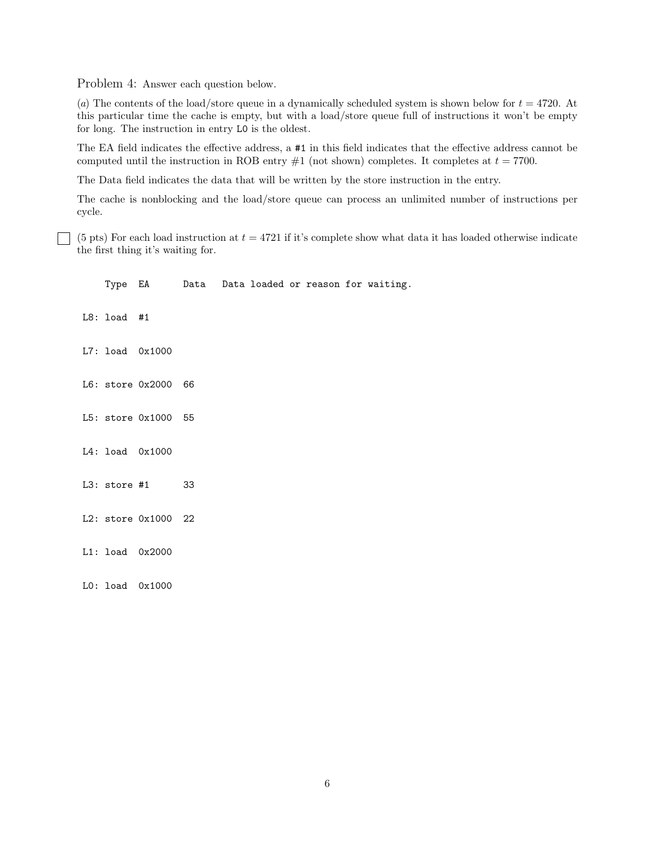Problem 4: Answer each question below.

(a) The contents of the load/store queue in a dynamically scheduled system is shown below for  $t = 4720$ . At this particular time the cache is empty, but with a load/store queue full of instructions it won't be empty for long. The instruction in entry L0 is the oldest.

The EA field indicates the effective address, a #1 in this field indicates that the effective address cannot be computed until the instruction in ROB entry  $#1$  (not shown) completes. It completes at  $t = 7700$ .

The Data field indicates the data that will be written by the store instruction in the entry.

The cache is nonblocking and the load/store queue can process an unlimited number of instructions per cycle.

(5 pts) For each load instruction at  $t = 4721$  if it's complete show what data it has loaded otherwise indicate the first thing it's waiting for.

|               |                     |  |  |  | Type EA Data Data loaded or reason for waiting. |
|---------------|---------------------|--|--|--|-------------------------------------------------|
| $L8:$ load #1 |                     |  |  |  |                                                 |
|               | L7: load 0x1000     |  |  |  |                                                 |
|               | L6: store 0x2000 66 |  |  |  |                                                 |
|               | L5: store 0x1000 55 |  |  |  |                                                 |
|               | L4: load 0x1000     |  |  |  |                                                 |
|               | L3: store #1 33     |  |  |  |                                                 |
|               | L2: store 0x1000 22 |  |  |  |                                                 |
|               | L1: load 0x2000     |  |  |  |                                                 |
|               | $LO:$ load $0x1000$ |  |  |  |                                                 |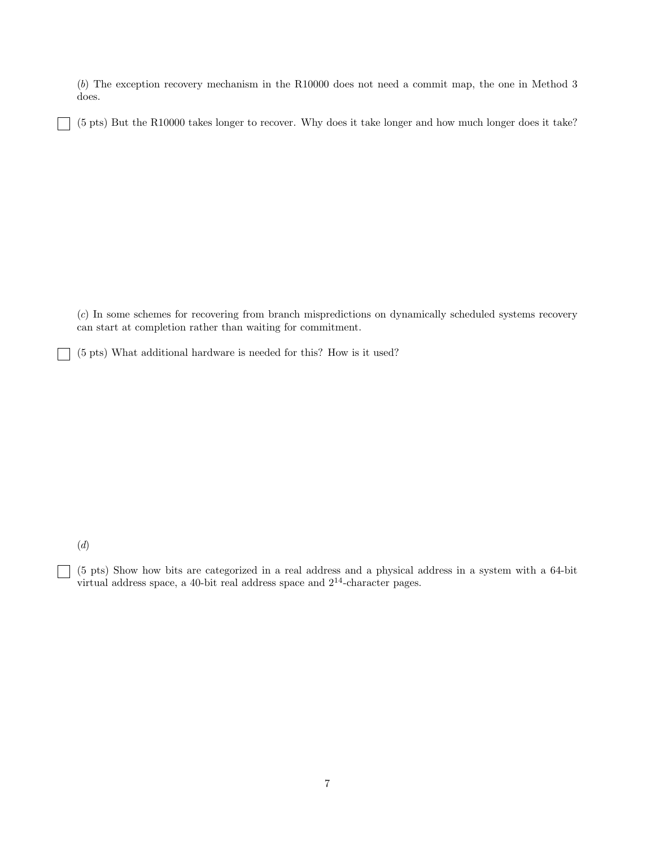(b) The exception recovery mechanism in the R10000 does not need a commit map, the one in Method 3 does.

(5 pts) But the R10000 takes longer to recover. Why does it take longer and how much longer does it take?

(c) In some schemes for recovering from branch mispredictions on dynamically scheduled systems recovery can start at completion rather than waiting for commitment.

(5 pts) What additional hardware is needed for this? How is it used?

(d)

٦

 $\blacksquare$ 

(5 pts) Show how bits are categorized in a real address and a physical address in a system with a 64-bit virtual address space, a 40-bit real address space and 2<sup>14</sup>-character pages.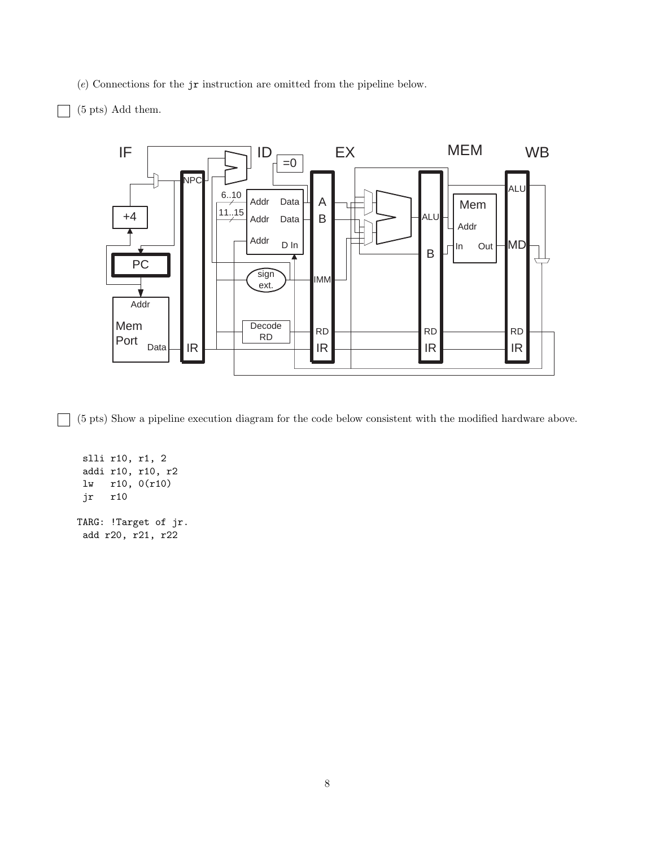(e) Connections for the jr instruction are omitted from the pipeline below.

## (5 pts) Add them.



(5 pts) Show a pipeline execution diagram for the code below consistent with the modified hardware above.

slli r10, r1, 2 addi r10, r10, r2 lw r10, 0(r10) jr r10 TARG: !Target of jr. add r20, r21, r22

 $\blacksquare$